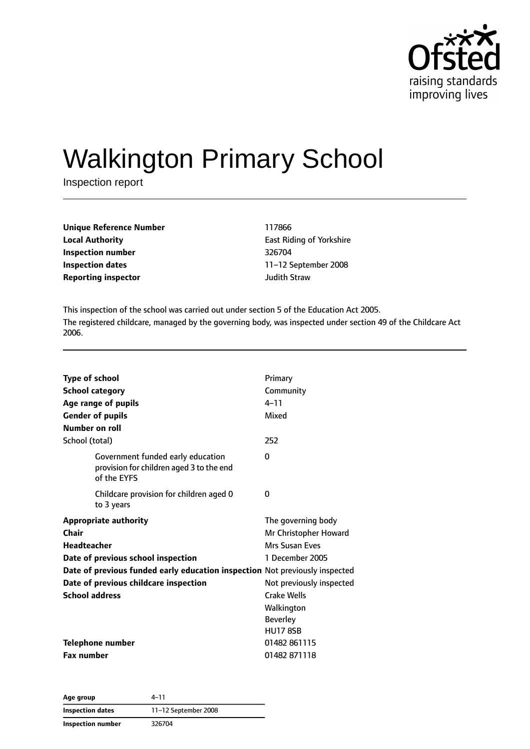

# Walkington Primary School

Inspection report

| Unique Reference Number    | 117866              |
|----------------------------|---------------------|
| <b>Local Authority</b>     | East Riding o       |
| Inspection number          | 326704              |
| Inspection dates           | 11-12 Septer        |
| <b>Reporting inspector</b> | <b>Judith Straw</b> |

**East Riding of Yorkshire Inspection number** 326704 **Inspection dates** 11–12 September 2008

This inspection of the school was carried out under section 5 of the Education Act 2005. The registered childcare, managed by the governing body, was inspected under section 49 of the Childcare Act 2006.

| <b>Type of school</b>        |                                                                                              | Primary                  |
|------------------------------|----------------------------------------------------------------------------------------------|--------------------------|
| <b>School category</b>       |                                                                                              | Community                |
| Age range of pupils          |                                                                                              | $4 - 11$                 |
| <b>Gender of pupils</b>      |                                                                                              | Mixed                    |
| Number on roll               |                                                                                              |                          |
| School (total)               |                                                                                              | 252                      |
|                              | Government funded early education<br>provision for children aged 3 to the end<br>of the EYFS | 0                        |
|                              | Childcare provision for children aged 0<br>to 3 years                                        | 0                        |
| <b>Appropriate authority</b> |                                                                                              | The governing body       |
| Chair                        |                                                                                              | Mr Christopher Howard    |
| <b>Headteacher</b>           |                                                                                              | Mrs Susan Eves           |
|                              | Date of previous school inspection                                                           | 1 December 2005          |
|                              | Date of previous funded early education inspection Not previously inspected                  |                          |
|                              | Date of previous childcare inspection                                                        | Not previously inspected |
| <b>School address</b>        |                                                                                              | Crake Wells              |
|                              |                                                                                              | Walkington               |
|                              |                                                                                              | <b>Beverley</b>          |
|                              |                                                                                              | <b>HU17 8SB</b>          |
| Telephone number             |                                                                                              | 01482 861115             |
| <b>Fax number</b>            |                                                                                              | 01482871118              |

**Age group** 4–11 **Inspection dates** 11–12 September 2008 **Inspection number** 326704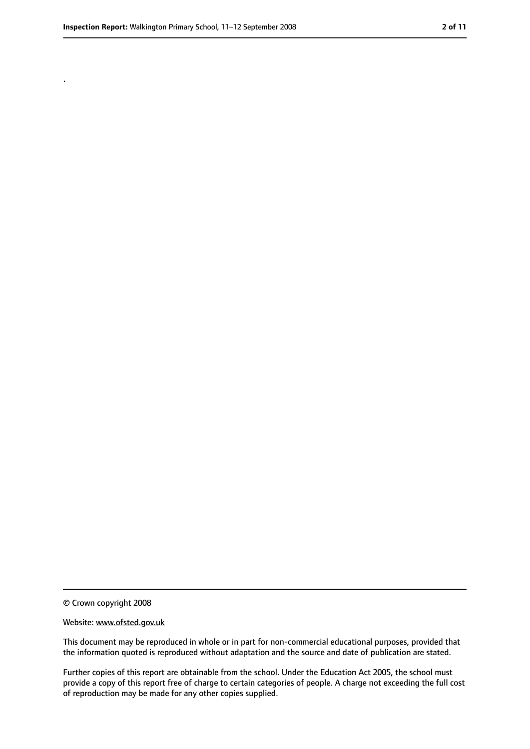.

<sup>©</sup> Crown copyright 2008

Website: www.ofsted.gov.uk

This document may be reproduced in whole or in part for non-commercial educational purposes, provided that the information quoted is reproduced without adaptation and the source and date of publication are stated.

Further copies of this report are obtainable from the school. Under the Education Act 2005, the school must provide a copy of this report free of charge to certain categories of people. A charge not exceeding the full cost of reproduction may be made for any other copies supplied.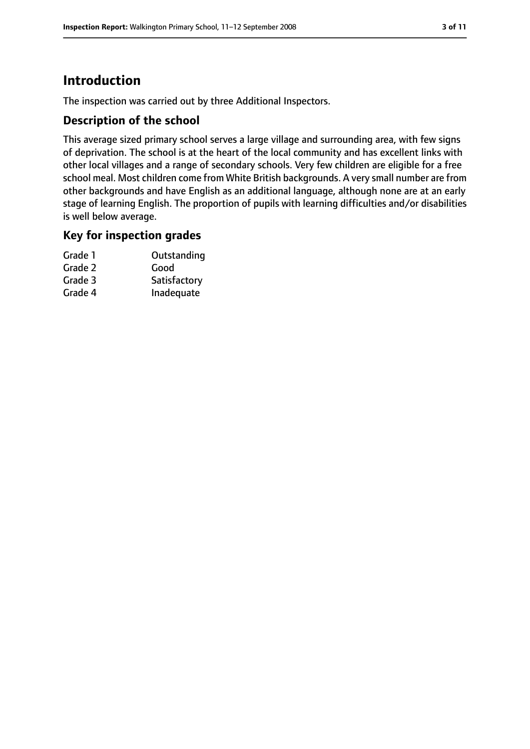# **Introduction**

The inspection was carried out by three Additional Inspectors.

#### **Description of the school**

This average sized primary school serves a large village and surrounding area, with few signs of deprivation. The school is at the heart of the local community and has excellent links with other local villages and a range of secondary schools. Very few children are eligible for a free school meal. Most children come from White British backgrounds. A very small number are from other backgrounds and have English as an additional language, although none are at an early stage of learning English. The proportion of pupils with learning difficulties and/or disabilities is well below average.

#### **Key for inspection grades**

| Grade 1 | Outstanding  |
|---------|--------------|
| Grade 2 | Good         |
| Grade 3 | Satisfactory |
| Grade 4 | Inadequate   |
|         |              |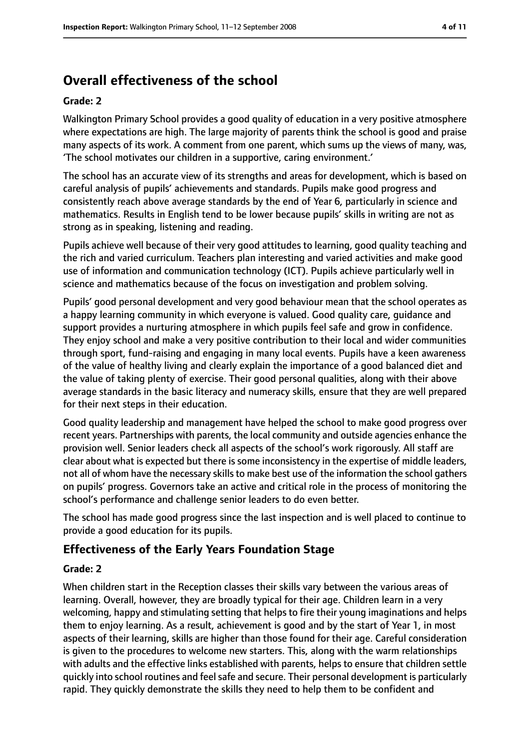# **Overall effectiveness of the school**

#### **Grade: 2**

Walkington Primary School provides a good quality of education in a very positive atmosphere where expectations are high. The large majority of parents think the school is good and praise many aspects of its work. A comment from one parent, which sums up the views of many, was, 'The school motivates our children in a supportive, caring environment.'

The school has an accurate view of its strengths and areas for development, which is based on careful analysis of pupils' achievements and standards. Pupils make good progress and consistently reach above average standards by the end of Year 6, particularly in science and mathematics. Results in English tend to be lower because pupils' skills in writing are not as strong as in speaking, listening and reading.

Pupils achieve well because of their very good attitudes to learning, good quality teaching and the rich and varied curriculum. Teachers plan interesting and varied activities and make good use of information and communication technology (ICT). Pupils achieve particularly well in science and mathematics because of the focus on investigation and problem solving.

Pupils' good personal development and very good behaviour mean that the school operates as a happy learning community in which everyone is valued. Good quality care, guidance and support provides a nurturing atmosphere in which pupils feel safe and grow in confidence. They enjoy school and make a very positive contribution to their local and wider communities through sport, fund-raising and engaging in many local events. Pupils have a keen awareness of the value of healthy living and clearly explain the importance of a good balanced diet and the value of taking plenty of exercise. Their good personal qualities, along with their above average standards in the basic literacy and numeracy skills, ensure that they are well prepared for their next steps in their education.

Good quality leadership and management have helped the school to make good progress over recent years. Partnerships with parents, the local community and outside agencies enhance the provision well. Senior leaders check all aspects of the school's work rigorously. All staff are clear about what is expected but there is some inconsistency in the expertise of middle leaders, not all of whom have the necessary skills to make best use of the information the school gathers on pupils' progress. Governors take an active and critical role in the process of monitoring the school's performance and challenge senior leaders to do even better.

The school has made good progress since the last inspection and is well placed to continue to provide a good education for its pupils.

# **Effectiveness of the Early Years Foundation Stage**

#### **Grade: 2**

When children start in the Reception classes their skills vary between the various areas of learning. Overall, however, they are broadly typical for their age. Children learn in a very welcoming, happy and stimulating setting that helps to fire their young imaginations and helps them to enjoy learning. As a result, achievement is good and by the start of Year 1, in most aspects of their learning, skills are higher than those found for their age. Careful consideration is given to the procedures to welcome new starters. This, along with the warm relationships with adults and the effective links established with parents, helps to ensure that children settle quickly into school routines and feel safe and secure. Their personal development is particularly rapid. They quickly demonstrate the skills they need to help them to be confident and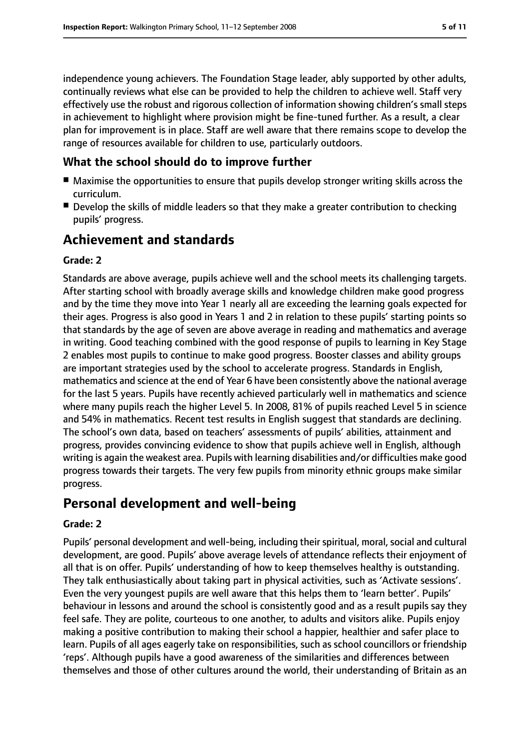independence young achievers. The Foundation Stage leader, ably supported by other adults, continually reviews what else can be provided to help the children to achieve well. Staff very effectively use the robust and rigorous collection of information showing children's small steps in achievement to highlight where provision might be fine-tuned further. As a result, a clear plan for improvement is in place. Staff are well aware that there remains scope to develop the range of resources available for children to use, particularly outdoors.

### **What the school should do to improve further**

- Maximise the opportunities to ensure that pupils develop stronger writing skills across the curriculum.
- Develop the skills of middle leaders so that they make a greater contribution to checking pupils' progress.

# **Achievement and standards**

#### **Grade: 2**

Standards are above average, pupils achieve well and the school meets its challenging targets. After starting school with broadly average skills and knowledge children make good progress and by the time they move into Year 1 nearly all are exceeding the learning goals expected for their ages. Progress is also good in Years 1 and 2 in relation to these pupils' starting points so that standards by the age of seven are above average in reading and mathematics and average in writing. Good teaching combined with the good response of pupils to learning in Key Stage 2 enables most pupils to continue to make good progress. Booster classes and ability groups are important strategies used by the school to accelerate progress. Standards in English, mathematics and science at the end of Year 6 have been consistently above the national average for the last 5 years. Pupils have recently achieved particularly well in mathematics and science where many pupils reach the higher Level 5. In 2008, 81% of pupils reached Level 5 in science and 54% in mathematics. Recent test results in English suggest that standards are declining. The school's own data, based on teachers' assessments of pupils' abilities, attainment and progress, provides convincing evidence to show that pupils achieve well in English, although writing is again the weakest area. Pupils with learning disabilities and/or difficulties make good progress towards their targets. The very few pupils from minority ethnic groups make similar progress.

# **Personal development and well-being**

#### **Grade: 2**

Pupils' personal development and well-being, including their spiritual, moral, social and cultural development, are good. Pupils' above average levels of attendance reflects their enjoyment of all that is on offer. Pupils' understanding of how to keep themselves healthy is outstanding. They talk enthusiastically about taking part in physical activities, such as 'Activate sessions'. Even the very youngest pupils are well aware that this helps them to 'learn better'. Pupils' behaviour in lessons and around the school is consistently good and as a result pupils say they feel safe. They are polite, courteous to one another, to adults and visitors alike. Pupils enjoy making a positive contribution to making their school a happier, healthier and safer place to learn. Pupils of all ages eagerly take on responsibilities, such as school councillors or friendship 'reps'. Although pupils have a good awareness of the similarities and differences between themselves and those of other cultures around the world, their understanding of Britain as an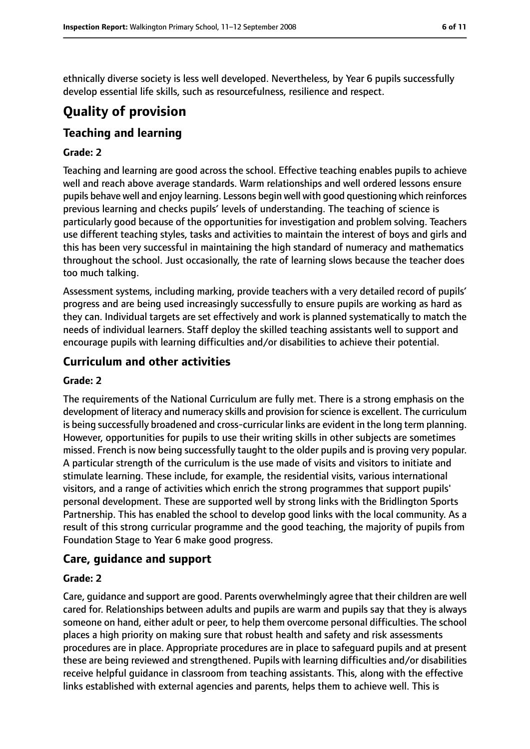ethnically diverse society is less well developed. Nevertheless, by Year 6 pupils successfully develop essential life skills, such as resourcefulness, resilience and respect.

# **Quality of provision**

## **Teaching and learning**

#### **Grade: 2**

Teaching and learning are good across the school. Effective teaching enables pupils to achieve well and reach above average standards. Warm relationships and well ordered lessons ensure pupils behave well and enjoy learning. Lessons begin well with good questioning which reinforces previous learning and checks pupils' levels of understanding. The teaching of science is particularly good because of the opportunities for investigation and problem solving. Teachers use different teaching styles, tasks and activities to maintain the interest of boys and girls and this has been very successful in maintaining the high standard of numeracy and mathematics throughout the school. Just occasionally, the rate of learning slows because the teacher does too much talking.

Assessment systems, including marking, provide teachers with a very detailed record of pupils' progress and are being used increasingly successfully to ensure pupils are working as hard as they can. Individual targets are set effectively and work is planned systematically to match the needs of individual learners. Staff deploy the skilled teaching assistants well to support and encourage pupils with learning difficulties and/or disabilities to achieve their potential.

#### **Curriculum and other activities**

#### **Grade: 2**

The requirements of the National Curriculum are fully met. There is a strong emphasis on the development of literacy and numeracy skills and provision for science is excellent. The curriculum is being successfully broadened and cross-curricular links are evident in the long term planning. However, opportunities for pupils to use their writing skills in other subjects are sometimes missed. French is now being successfully taught to the older pupils and is proving very popular. A particular strength of the curriculum is the use made of visits and visitors to initiate and stimulate learning. These include, for example, the residential visits, various international visitors, and a range of activities which enrich the strong programmes that support pupils' personal development. These are supported well by strong links with the Bridlington Sports Partnership. This has enabled the school to develop good links with the local community. As a result of this strong curricular programme and the good teaching, the majority of pupils from Foundation Stage to Year 6 make good progress.

#### **Care, guidance and support**

#### **Grade: 2**

Care, guidance and support are good. Parents overwhelmingly agree that their children are well cared for. Relationships between adults and pupils are warm and pupils say that they is always someone on hand, either adult or peer, to help them overcome personal difficulties. The school places a high priority on making sure that robust health and safety and risk assessments procedures are in place. Appropriate procedures are in place to safeguard pupils and at present these are being reviewed and strengthened. Pupils with learning difficulties and/or disabilities receive helpful guidance in classroom from teaching assistants. This, along with the effective links established with external agencies and parents, helps them to achieve well. This is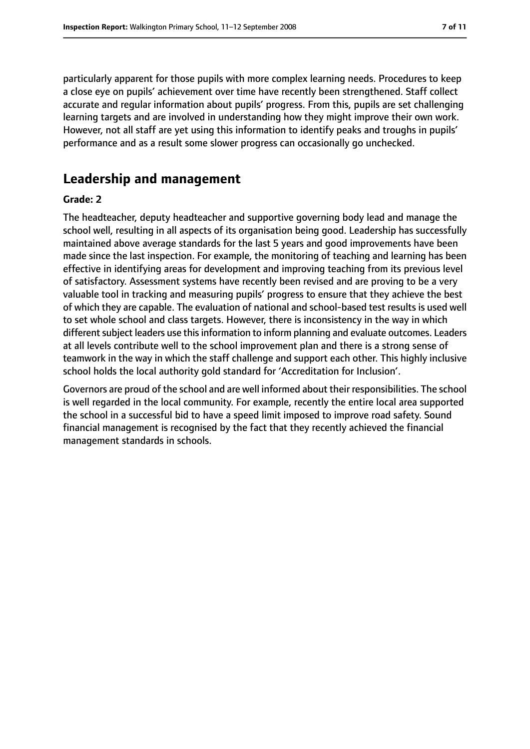particularly apparent for those pupils with more complex learning needs. Procedures to keep a close eye on pupils' achievement over time have recently been strengthened. Staff collect accurate and regular information about pupils' progress. From this, pupils are set challenging learning targets and are involved in understanding how they might improve their own work. However, not all staff are yet using this information to identify peaks and troughs in pupils' performance and as a result some slower progress can occasionally go unchecked.

# **Leadership and management**

#### **Grade: 2**

The headteacher, deputy headteacher and supportive governing body lead and manage the school well, resulting in all aspects of its organisation being good. Leadership has successfully maintained above average standards for the last 5 years and good improvements have been made since the last inspection. For example, the monitoring of teaching and learning has been effective in identifying areas for development and improving teaching from its previous level of satisfactory. Assessment systems have recently been revised and are proving to be a very valuable tool in tracking and measuring pupils' progress to ensure that they achieve the best of which they are capable. The evaluation of national and school-based test results is used well to set whole school and class targets. However, there is inconsistency in the way in which different subject leaders use this information to inform planning and evaluate outcomes. Leaders at all levels contribute well to the school improvement plan and there is a strong sense of teamwork in the way in which the staff challenge and support each other. This highly inclusive school holds the local authority gold standard for 'Accreditation for Inclusion'.

Governors are proud of the school and are well informed about their responsibilities. The school is well regarded in the local community. For example, recently the entire local area supported the school in a successful bid to have a speed limit imposed to improve road safety. Sound financial management is recognised by the fact that they recently achieved the financial management standards in schools.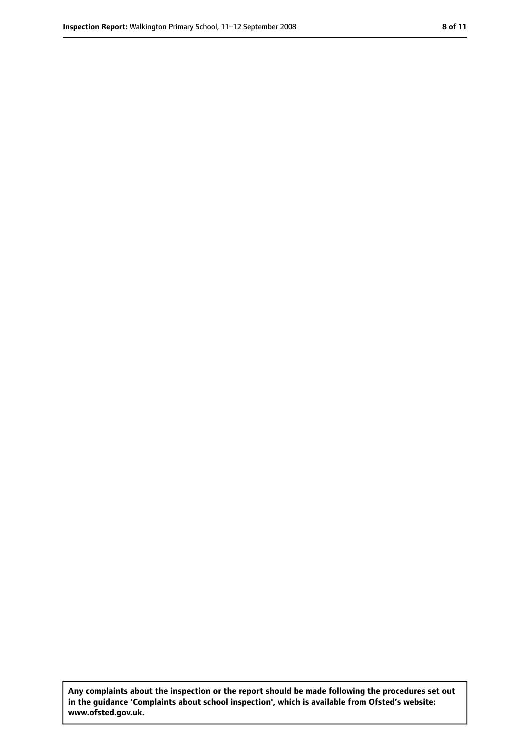**Any complaints about the inspection or the report should be made following the procedures set out in the guidance 'Complaints about school inspection', which is available from Ofsted's website: www.ofsted.gov.uk.**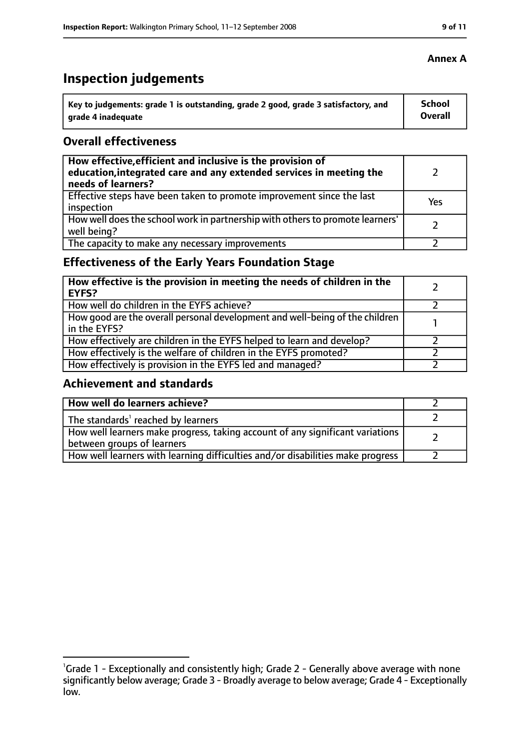# **Inspection judgements**

| Key to judgements: grade 1 is outstanding, grade 2 good, grade 3 satisfactory, and | School  |
|------------------------------------------------------------------------------------|---------|
| arade 4 inadequate                                                                 | Overall |

#### **Overall effectiveness**

| How effective, efficient and inclusive is the provision of<br>education, integrated care and any extended services in meeting the<br>needs of learners? |     |
|---------------------------------------------------------------------------------------------------------------------------------------------------------|-----|
| Effective steps have been taken to promote improvement since the last<br>inspection                                                                     | Yes |
| How well does the school work in partnership with others to promote learners'<br>well being?                                                            |     |
| The capacity to make any necessary improvements                                                                                                         |     |

# **Effectiveness of the Early Years Foundation Stage**

| How effective is the provision in meeting the needs of children in the<br><b>EYFS?</b>       |  |
|----------------------------------------------------------------------------------------------|--|
| How well do children in the EYFS achieve?                                                    |  |
| How good are the overall personal development and well-being of the children<br>in the EYFS? |  |
| How effectively are children in the EYFS helped to learn and develop?                        |  |
| How effectively is the welfare of children in the EYFS promoted?                             |  |
| How effectively is provision in the EYFS led and managed?                                    |  |

## **Achievement and standards**

| How well do learners achieve?                                                                               |  |
|-------------------------------------------------------------------------------------------------------------|--|
| The standards <sup>1</sup> reached by learners                                                              |  |
| How well learners make progress, taking account of any significant variations<br>between groups of learners |  |
| How well learners with learning difficulties and/or disabilities make progress                              |  |

#### **Annex A**

<sup>&</sup>lt;sup>1</sup>Grade 1 - Exceptionally and consistently high; Grade 2 - Generally above average with none significantly below average; Grade 3 - Broadly average to below average; Grade 4 - Exceptionally low.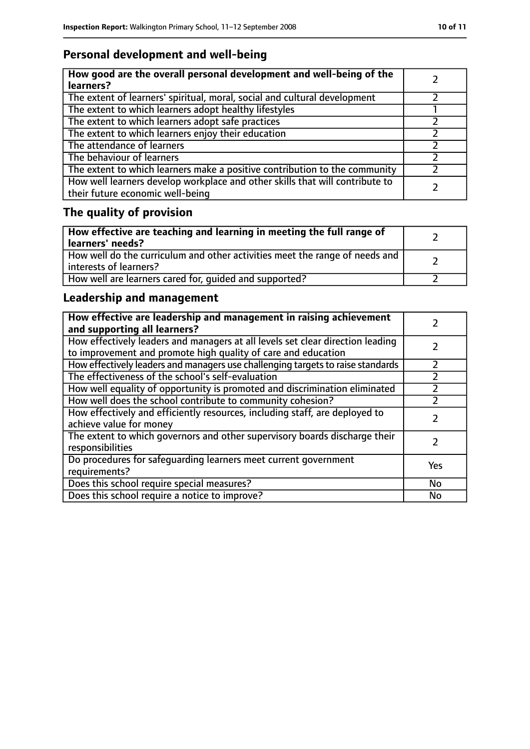# **Personal development and well-being**

| How good are the overall personal development and well-being of the<br>learners?                                 |  |
|------------------------------------------------------------------------------------------------------------------|--|
| The extent of learners' spiritual, moral, social and cultural development                                        |  |
| The extent to which learners adopt healthy lifestyles                                                            |  |
| The extent to which learners adopt safe practices                                                                |  |
| The extent to which learners enjoy their education                                                               |  |
| The attendance of learners                                                                                       |  |
| The behaviour of learners                                                                                        |  |
| The extent to which learners make a positive contribution to the community                                       |  |
| How well learners develop workplace and other skills that will contribute to<br>their future economic well-being |  |

# **The quality of provision**

| How effective are teaching and learning in meeting the full range of<br>learners' needs?              |  |
|-------------------------------------------------------------------------------------------------------|--|
| How well do the curriculum and other activities meet the range of needs and<br>interests of learners? |  |
| How well are learners cared for, quided and supported?                                                |  |

# **Leadership and management**

| How effective are leadership and management in raising achievement<br>and supporting all learners?                                              |     |
|-------------------------------------------------------------------------------------------------------------------------------------------------|-----|
| How effectively leaders and managers at all levels set clear direction leading<br>to improvement and promote high quality of care and education |     |
| How effectively leaders and managers use challenging targets to raise standards                                                                 |     |
| The effectiveness of the school's self-evaluation                                                                                               |     |
| How well equality of opportunity is promoted and discrimination eliminated                                                                      |     |
| How well does the school contribute to community cohesion?                                                                                      |     |
| How effectively and efficiently resources, including staff, are deployed to<br>achieve value for money                                          |     |
| The extent to which governors and other supervisory boards discharge their<br>responsibilities                                                  |     |
| Do procedures for safeguarding learners meet current government<br>requirements?                                                                | Yes |
| Does this school require special measures?                                                                                                      | No  |
| Does this school require a notice to improve?                                                                                                   | No  |